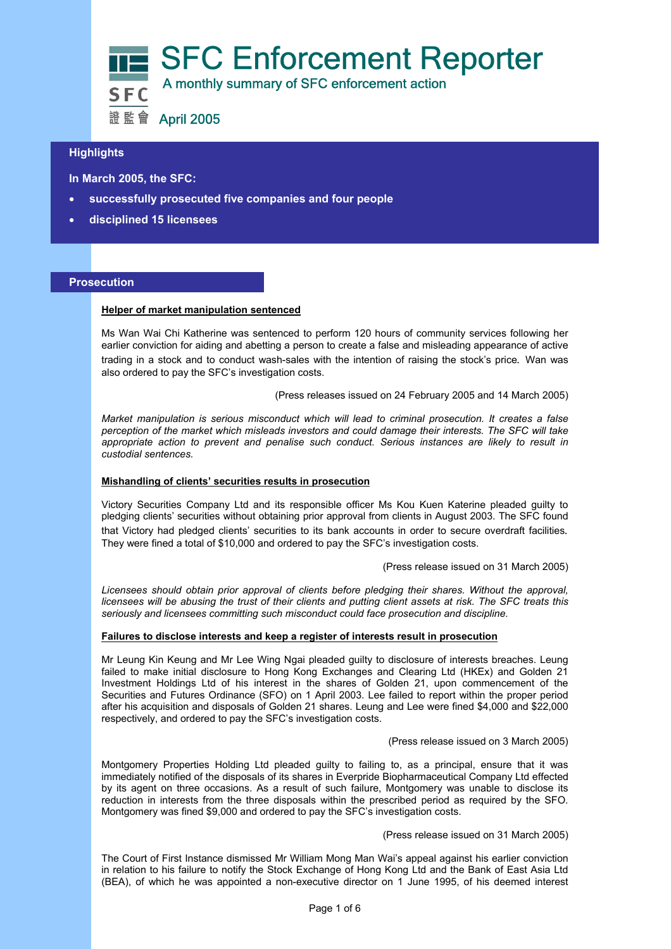

# **Highlights**

 **In March 2005, the SFC:** 

- **successfully prosecuted five companies and four people**
- **disciplined 15 licensees**

#### **Prosecution**

#### **Helper of market manipulation sentenced**

Ms Wan Wai Chi Katherine was sentenced to perform 120 hours of community services following her earlier conviction for aiding and abetting a person to create a false and misleading appearance of active trading in a stock and to conduct wash-sales with the intention of raising the stock's price*.* Wan was also ordered to pay the SFC's investigation costs.

(Press releases issued on 24 February 2005 and 14 March 2005)

*Market manipulation is serious misconduct which will lead to criminal prosecution. It creates a false perception of the market which misleads investors and could damage their interests. The SFC will take appropriate action to prevent and penalise such conduct. Serious instances are likely to result in custodial sentences.* 

#### **Mishandling of clients' securities results in prosecution**

Victory Securities Company Ltd and its responsible officer Ms Kou Kuen Katerine pleaded guilty to pledging clients' securities without obtaining prior approval from clients in August 2003. The SFC found that Victory had pledged clients' securities to its bank accounts in order to secure overdraft facilities*.* They were fined a total of \$10,000 and ordered to pay the SFC's investigation costs.

(Press release issued on 31 March 2005)

*Licensees should obtain prior approval of clients before pledging their shares. Without the approval, licensees will be abusing the trust of their clients and putting client assets at risk. The SFC treats this seriously and licensees committing such misconduct could face prosecution and discipline.* 

# **Failures to disclose interests and keep a register of interests result in prosecution**

Mr Leung Kin Keung and Mr Lee Wing Ngai pleaded guilty to disclosure of interests breaches. Leung failed to make initial disclosure to Hong Kong Exchanges and Clearing Ltd (HKEx) and Golden 21 Investment Holdings Ltd of his interest in the shares of Golden 21, upon commencement of the Securities and Futures Ordinance (SFO) on 1 April 2003. Lee failed to report within the proper period after his acquisition and disposals of Golden 21 shares. Leung and Lee were fined \$4,000 and \$22,000 respectively, and ordered to pay the SFC's investigation costs.

#### (Press release issued on 3 March 2005)

Montgomery Properties Holding Ltd pleaded guilty to failing to, as a principal, ensure that it was immediately notified of the disposals of its shares in Everpride Biopharmaceutical Company Ltd effected by its agent on three occasions. As a result of such failure, Montgomery was unable to disclose its reduction in interests from the three disposals within the prescribed period as required by the SFO. Montgomery was fined \$9,000 and ordered to pay the SFC's investigation costs.

# (Press release issued on 31 March 2005)

The Court of First Instance dismissed Mr William Mong Man Wai's appeal against his earlier conviction in relation to his failure to notify the Stock Exchange of Hong Kong Ltd and the Bank of East Asia Ltd (BEA), of which he was appointed a non-executive director on 1 June 1995, of his deemed interest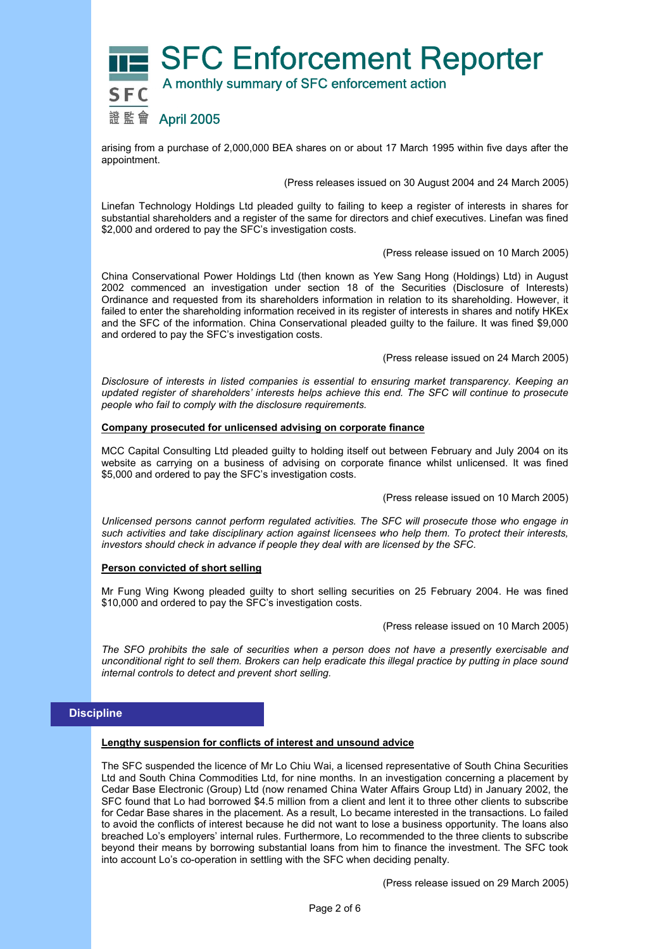

arising from a purchase of 2,000,000 BEA shares on or about 17 March 1995 within five days after the appointment.

(Press releases issued on 30 August 2004 and 24 March 2005)

Linefan Technology Holdings Ltd pleaded guilty to failing to keep a register of interests in shares for substantial shareholders and a register of the same for directors and chief executives. Linefan was fined \$2,000 and ordered to pay the SFC's investigation costs.

#### (Press release issued on 10 March 2005)

China Conservational Power Holdings Ltd (then known as Yew Sang Hong (Holdings) Ltd) in August 2002 commenced an investigation under section 18 of the Securities (Disclosure of Interests) Ordinance and requested from its shareholders information in relation to its shareholding. However, it failed to enter the shareholding information received in its register of interests in shares and notify HKEx and the SFC of the information. China Conservational pleaded guilty to the failure. It was fined \$9,000 and ordered to pay the SFC's investigation costs.

(Press release issued on 24 March 2005)

*Disclosure of interests in listed companies is essential to ensuring market transparency. Keeping an updated register of shareholders' interests helps achieve this end. The SFC will continue to prosecute people who fail to comply with the disclosure requirements.* 

# **Company prosecuted for unlicensed advising on corporate finance**

MCC Capital Consulting Ltd pleaded guilty to holding itself out between February and July 2004 on its website as carrying on a business of advising on corporate finance whilst unlicensed. It was fined \$5,000 and ordered to pay the SFC's investigation costs.

(Press release issued on 10 March 2005)

*Unlicensed persons cannot perform regulated activities. The SFC will prosecute those who engage in such activities and take disciplinary action against licensees who help them. To protect their interests, investors should check in advance if people they deal with are licensed by the SFC.* 

## **Person convicted of short selling**

Mr Fung Wing Kwong pleaded guilty to short selling securities on 25 February 2004. He was fined \$10,000 and ordered to pay the SFC's investigation costs.

(Press release issued on 10 March 2005)

*The SFO prohibits the sale of securities when a person does not have a presently exercisable and unconditional right to sell them. Brokers can help eradicate this illegal practice by putting in place sound internal controls to detect and prevent short selling.* 

# **Discipline**

## **Lengthy suspension for conflicts of interest and unsound advice**

The SFC suspended the licence of Mr Lo Chiu Wai, a licensed representative of South China Securities Ltd and South China Commodities Ltd, for nine months. In an investigation concerning a placement by Cedar Base Electronic (Group) Ltd (now renamed China Water Affairs Group Ltd) in January 2002, the SFC found that Lo had borrowed \$4.5 million from a client and lent it to three other clients to subscribe for Cedar Base shares in the placement. As a result, Lo became interested in the transactions. Lo failed to avoid the conflicts of interest because he did not want to lose a business opportunity. The loans also breached Lo's employers' internal rules. Furthermore, Lo recommended to the three clients to subscribe beyond their means by borrowing substantial loans from him to finance the investment. The SFC took into account Lo's co-operation in settling with the SFC when deciding penalty.

(Press release issued on 29 March 2005)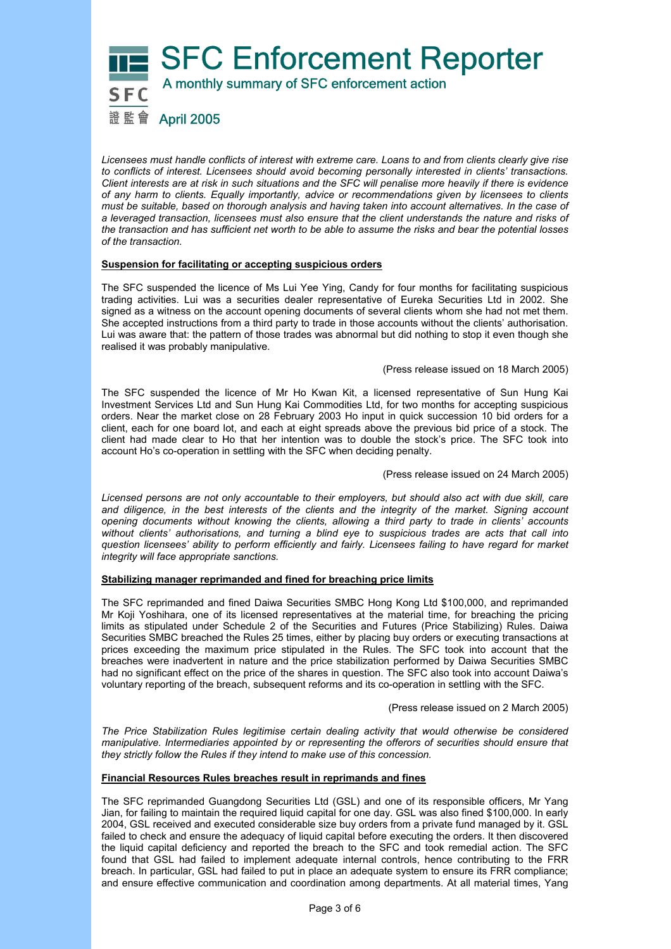

*Licensees must handle conflicts of interest with extreme care. Loans to and from clients clearly give rise to conflicts of interest. Licensees should avoid becoming personally interested in clients' transactions. Client interests are at risk in such situations and the SFC will penalise more heavily if there is evidence of any harm to clients. Equally importantly, advice or recommendations given by licensees to clients must be suitable, based on thorough analysis and having taken into account alternatives. In the case of a leveraged transaction, licensees must also ensure that the client understands the nature and risks of the transaction and has sufficient net worth to be able to assume the risks and bear the potential losses of the transaction.* 

## **Suspension for facilitating or accepting suspicious orders**

The SFC suspended the licence of Ms Lui Yee Ying, Candy for four months for facilitating suspicious trading activities. Lui was a securities dealer representative of Eureka Securities Ltd in 2002. She signed as a witness on the account opening documents of several clients whom she had not met them. She accepted instructions from a third party to trade in those accounts without the clients' authorisation. Lui was aware that: the pattern of those trades was abnormal but did nothing to stop it even though she realised it was probably manipulative.

#### (Press release issued on 18 March 2005)

The SFC suspended the licence of Mr Ho Kwan Kit, a licensed representative of Sun Hung Kai Investment Services Ltd and Sun Hung Kai Commodities Ltd, for two months for accepting suspicious orders. Near the market close on 28 February 2003 Ho input in quick succession 10 bid orders for a client, each for one board lot, and each at eight spreads above the previous bid price of a stock. The client had made clear to Ho that her intention was to double the stock's price. The SFC took into account Ho's co-operation in settling with the SFC when deciding penalty.

(Press release issued on 24 March 2005)

*Licensed persons are not only accountable to their employers, but should also act with due skill, care and diligence, in the best interests of the clients and the integrity of the market. Signing account opening documents without knowing the clients, allowing a third party to trade in clients' accounts without clients' authorisations, and turning a blind eye to suspicious trades are acts that call into question licensees' ability to perform efficiently and fairly. Licensees failing to have regard for market integrity will face appropriate sanctions.* 

## **Stabilizing manager reprimanded and fined for breaching price limits**

The SFC reprimanded and fined Daiwa Securities SMBC Hong Kong Ltd \$100,000, and reprimanded Mr Koji Yoshihara, one of its licensed representatives at the material time, for breaching the pricing limits as stipulated under Schedule 2 of the Securities and Futures (Price Stabilizing) Rules. Daiwa Securities SMBC breached the Rules 25 times, either by placing buy orders or executing transactions at prices exceeding the maximum price stipulated in the Rules. The SFC took into account that the breaches were inadvertent in nature and the price stabilization performed by Daiwa Securities SMBC had no significant effect on the price of the shares in question. The SFC also took into account Daiwa's voluntary reporting of the breach, subsequent reforms and its co-operation in settling with the SFC.

(Press release issued on 2 March 2005)

*The Price Stabilization Rules legitimise certain dealing activity that would otherwise be considered manipulative. Intermediaries appointed by or representing the offerors of securities should ensure that they strictly follow the Rules if they intend to make use of this concession.* 

## **Financial Resources Rules breaches result in reprimands and fines**

The SFC reprimanded Guangdong Securities Ltd (GSL) and one of its responsible officers, Mr Yang Jian, for failing to maintain the required liquid capital for one day. GSL was also fined \$100,000. In early 2004, GSL received and executed considerable size buy orders from a private fund managed by it. GSL failed to check and ensure the adequacy of liquid capital before executing the orders. It then discovered the liquid capital deficiency and reported the breach to the SFC and took remedial action. The SFC found that GSL had failed to implement adequate internal controls, hence contributing to the FRR breach. In particular, GSL had failed to put in place an adequate system to ensure its FRR compliance; and ensure effective communication and coordination among departments. At all material times, Yang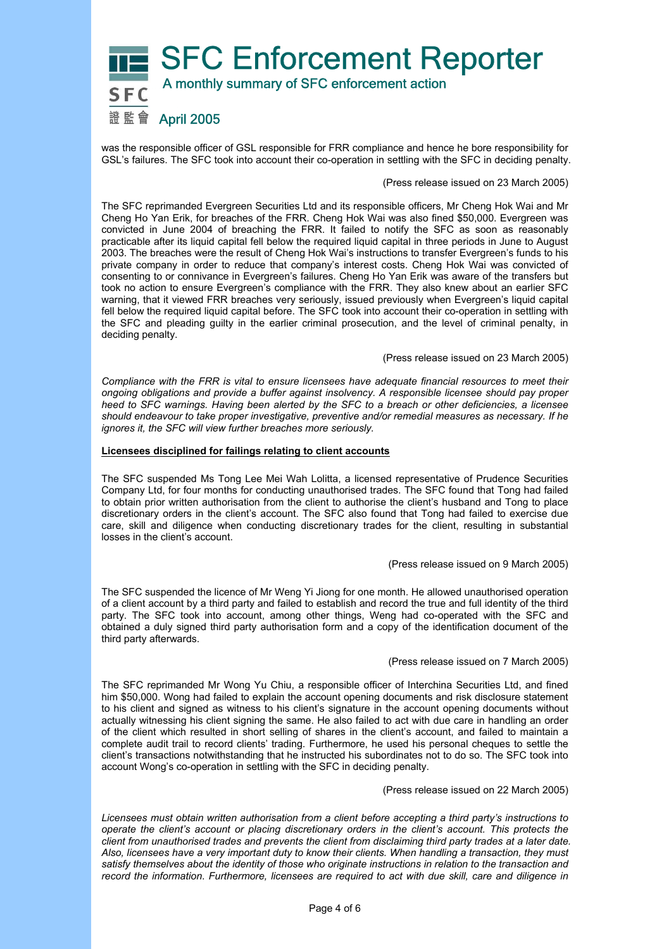

was the responsible officer of GSL responsible for FRR compliance and hence he bore responsibility for GSL's failures. The SFC took into account their co-operation in settling with the SFC in deciding penalty.

#### (Press release issued on 23 March 2005)

The SFC reprimanded Evergreen Securities Ltd and its responsible officers, Mr Cheng Hok Wai and Mr Cheng Ho Yan Erik, for breaches of the FRR. Cheng Hok Wai was also fined \$50,000. Evergreen was convicted in June 2004 of breaching the FRR. It failed to notify the SFC as soon as reasonably practicable after its liquid capital fell below the required liquid capital in three periods in June to August 2003. The breaches were the result of Cheng Hok Wai's instructions to transfer Evergreen's funds to his private company in order to reduce that company's interest costs. Cheng Hok Wai was convicted of consenting to or connivance in Evergreen's failures. Cheng Ho Yan Erik was aware of the transfers but took no action to ensure Evergreen's compliance with the FRR. They also knew about an earlier SFC warning, that it viewed FRR breaches very seriously, issued previously when Evergreen's liquid capital fell below the required liquid capital before. The SFC took into account their co-operation in settling with the SFC and pleading guilty in the earlier criminal prosecution, and the level of criminal penalty, in deciding penalty.

(Press release issued on 23 March 2005)

*Compliance with the FRR is vital to ensure licensees have adequate financial resources to meet their ongoing obligations and provide a buffer against insolvency. A responsible licensee should pay proper heed to SFC warnings. Having been alerted by the SFC to a breach or other deficiencies, a licensee should endeavour to take proper investigative, preventive and/or remedial measures as necessary. If he ignores it, the SFC will view further breaches more seriously.* 

#### **Licensees disciplined for failings relating to client accounts**

The SFC suspended Ms Tong Lee Mei Wah Lolitta, a licensed representative of Prudence Securities Company Ltd, for four months for conducting unauthorised trades. The SFC found that Tong had failed to obtain prior written authorisation from the client to authorise the client's husband and Tong to place discretionary orders in the client's account. The SFC also found that Tong had failed to exercise due care, skill and diligence when conducting discretionary trades for the client, resulting in substantial losses in the client's account.

## (Press release issued on 9 March 2005)

The SFC suspended the licence of Mr Weng Yi Jiong for one month. He allowed unauthorised operation of a client account by a third party and failed to establish and record the true and full identity of the third party. The SFC took into account, among other things, Weng had co-operated with the SFC and obtained a duly signed third party authorisation form and a copy of the identification document of the third party afterwards.

## (Press release issued on 7 March 2005)

The SFC reprimanded Mr Wong Yu Chiu, a responsible officer of Interchina Securities Ltd, and fined him \$50,000. Wong had failed to explain the account opening documents and risk disclosure statement to his client and signed as witness to his client's signature in the account opening documents without actually witnessing his client signing the same. He also failed to act with due care in handling an order of the client which resulted in short selling of shares in the client's account, and failed to maintain a complete audit trail to record clients' trading. Furthermore, he used his personal cheques to settle the client's transactions notwithstanding that he instructed his subordinates not to do so. The SFC took into account Wong's co-operation in settling with the SFC in deciding penalty.

(Press release issued on 22 March 2005)

*Licensees must obtain written authorisation from a client before accepting a third party's instructions to operate the client's account or placing discretionary orders in the client's account. This protects the client from unauthorised trades and prevents the client from disclaiming third party trades at a later date. Also, licensees have a very important duty to know their clients. When handling a transaction, they must satisfy themselves about the identity of those who originate instructions in relation to the transaction and record the information*. *Furthermore, licensees are required to act with due skill, care and diligence in*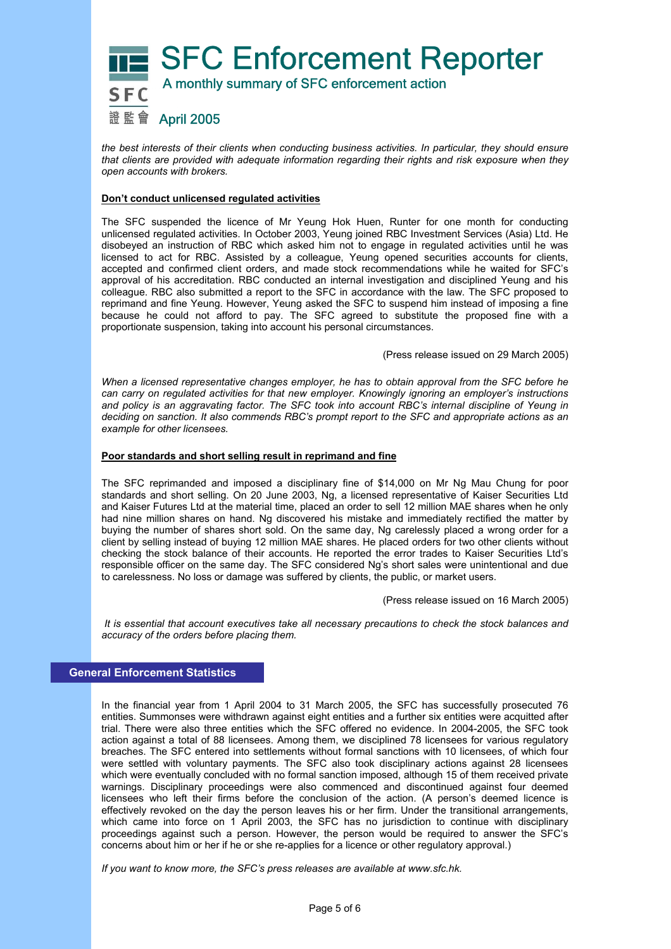

*the best interests of their clients when conducting business activities. In particular, they should ensure that clients are provided with adequate information regarding their rights and risk exposure when they open accounts with brokers.* 

# **Don't conduct unlicensed regulated activities**

The SFC suspended the licence of Mr Yeung Hok Huen, Runter for one month for conducting unlicensed regulated activities. In October 2003, Yeung joined RBC Investment Services (Asia) Ltd. He disobeyed an instruction of RBC which asked him not to engage in regulated activities until he was licensed to act for RBC. Assisted by a colleague, Yeung opened securities accounts for clients, accepted and confirmed client orders, and made stock recommendations while he waited for SFC's approval of his accreditation. RBC conducted an internal investigation and disciplined Yeung and his colleague. RBC also submitted a report to the SFC in accordance with the law. The SFC proposed to reprimand and fine Yeung. However, Yeung asked the SFC to suspend him instead of imposing a fine because he could not afford to pay. The SFC agreed to substitute the proposed fine with a proportionate suspension, taking into account his personal circumstances.

(Press release issued on 29 March 2005)

*When a licensed representative changes employer, he has to obtain approval from the SFC before he can carry on regulated activities for that new employer. Knowingly ignoring an employer's instructions and policy is an aggravating factor. The SFC took into account RBC's internal discipline of Yeung in deciding on sanction. It also commends RBC's prompt report to the SFC and appropriate actions as an example for other licensees.* 

## **Poor standards and short selling result in reprimand and fine**

The SFC reprimanded and imposed a disciplinary fine of \$14,000 on Mr Ng Mau Chung for poor standards and short selling. On 20 June 2003, Ng, a licensed representative of Kaiser Securities Ltd and Kaiser Futures Ltd at the material time, placed an order to sell 12 million MAE shares when he only had nine million shares on hand. Ng discovered his mistake and immediately rectified the matter by buying the number of shares short sold. On the same day, Ng carelessly placed a wrong order for a client by selling instead of buying 12 million MAE shares. He placed orders for two other clients without checking the stock balance of their accounts. He reported the error trades to Kaiser Securities Ltd's responsible officer on the same day. The SFC considered Ng's short sales were unintentional and due to carelessness. No loss or damage was suffered by clients, the public, or market users.

(Press release issued on 16 March 2005)

 *It is essential that account executives take all necessary precautions to check the stock balances and accuracy of the orders before placing them.* 

# **General Enforcement Statistics**

In the financial year from 1 April 2004 to 31 March 2005, the SFC has successfully prosecuted 76 entities. Summonses were withdrawn against eight entities and a further six entities were acquitted after trial. There were also three entities which the SFC offered no evidence. In 2004-2005, the SFC took action against a total of 88 licensees. Among them, we disciplined 78 licensees for various regulatory breaches. The SFC entered into settlements without formal sanctions with 10 licensees, of which four were settled with voluntary payments. The SFC also took disciplinary actions against 28 licensees which were eventually concluded with no formal sanction imposed, although 15 of them received private warnings. Disciplinary proceedings were also commenced and discontinued against four deemed licensees who left their firms before the conclusion of the action. (A person's deemed licence is effectively revoked on the day the person leaves his or her firm. Under the transitional arrangements, which came into force on 1 April 2003, the SFC has no jurisdiction to continue with disciplinary proceedings against such a person. However, the person would be required to answer the SFC's concerns about him or her if he or she re-applies for a licence or other regulatory approval.)

*If you want to know more, the SFC's press releases are available at www.sfc.hk.*